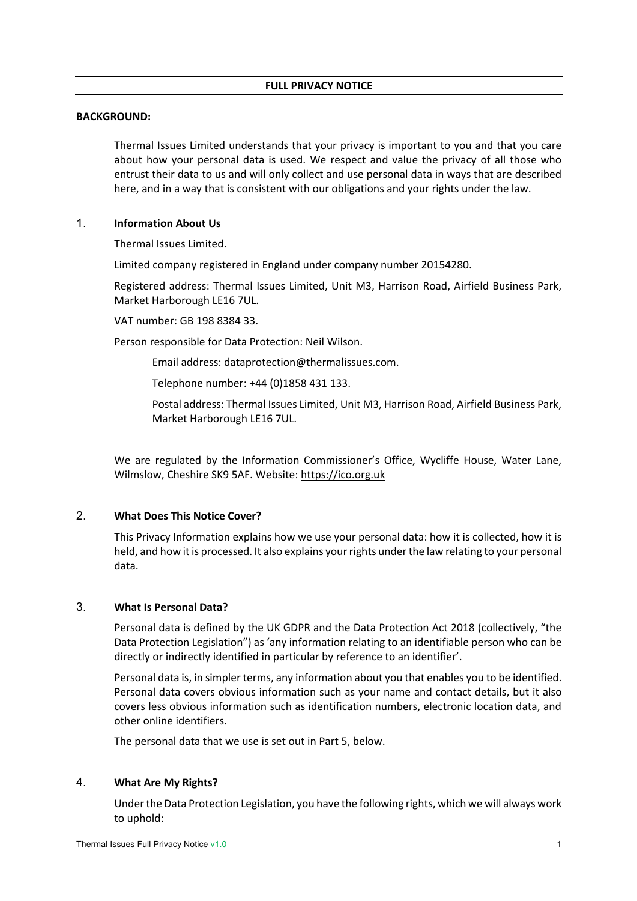### **FULL PRIVACY NOTICE**

#### **BACKGROUND:**

Thermal Issues Limited understands that your privacy is important to you and that you care about how your personal data is used. We respect and value the privacy of all those who entrust their data to us and will only collect and use personal data in ways that are described here, and in a way that is consistent with our obligations and your rights under the law.

### 1. **Information About Us**

Thermal Issues Limited.

Limited company registered in England under company number 20154280.

Registered address: Thermal Issues Limited, Unit M3, Harrison Road, Airfield Business Park, Market Harborough LE16 7UL.

VAT number: GB 198 8384 33.

Person responsible for Data Protection: Neil Wilson.

Email address: dataprotection@thermalissues.com.

Telephone number: +44 (0)1858 431 133.

Postal address: Thermal Issues Limited, Unit M3, Harrison Road, Airfield Business Park, Market Harborough LE16 7UL.

We are regulated by the Information Commissioner's Office, Wycliffe House, Water Lane, Wilmslow, Cheshire SK9 5AF. Website: https://ico.org.uk

## 2. **What Does This Notice Cover?**

This Privacy Information explains how we use your personal data: how it is collected, how it is held, and how it is processed. It also explains your rights under the law relating to your personal data.

### 3. **What Is Personal Data?**

Personal data is defined by the UK GDPR and the Data Protection Act 2018 (collectively, "the Data Protection Legislation") as 'any information relating to an identifiable person who can be directly or indirectly identified in particular by reference to an identifier'.

Personal data is, in simpler terms, any information about you that enables you to be identified. Personal data covers obvious information such as your name and contact details, but it also covers less obvious information such as identification numbers, electronic location data, and other online identifiers.

The personal data that we use is set out in Part 5, below.

## 4. **What Are My Rights?**

Under the Data Protection Legislation, you have the following rights, which we will always work to uphold: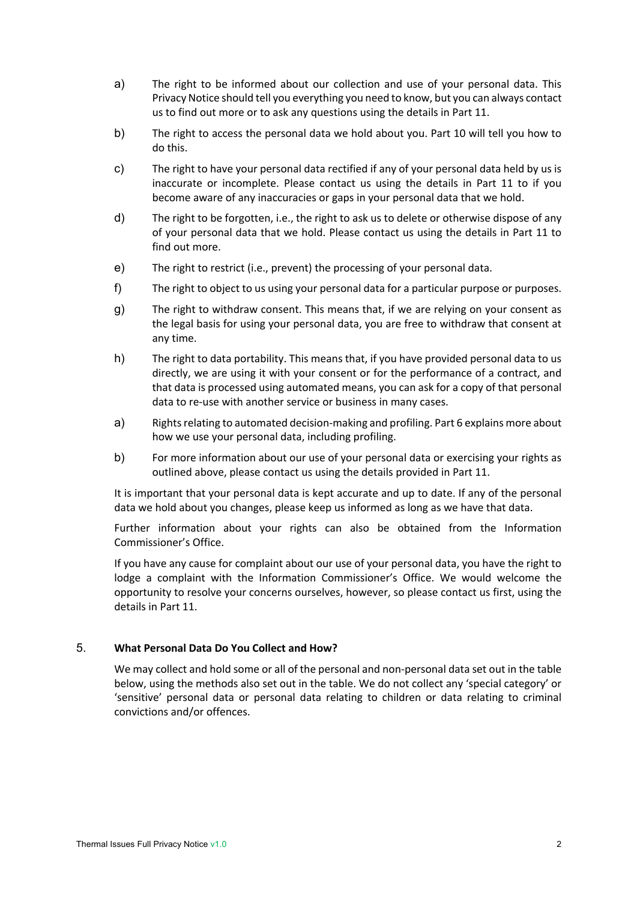- a) The right to be informed about our collection and use of your personal data. This Privacy Notice should tell you everything you need to know, but you can always contact us to find out more or to ask any questions using the details in Part 11.
- b) The right to access the personal data we hold about you. Part 10 will tell you how to do this.
- c) The right to have your personal data rectified if any of your personal data held by us is inaccurate or incomplete. Please contact us using the details in Part 11 to if you become aware of any inaccuracies or gaps in your personal data that we hold.
- d) The right to be forgotten, i.e., the right to ask us to delete or otherwise dispose of any of your personal data that we hold. Please contact us using the details in Part 11 to find out more.
- e) The right to restrict (i.e., prevent) the processing of your personal data.
- f) The right to object to us using your personal data for a particular purpose or purposes.
- g) The right to withdraw consent. This means that, if we are relying on your consent as the legal basis for using your personal data, you are free to withdraw that consent at any time.
- h) The right to data portability. This means that, if you have provided personal data to us directly, we are using it with your consent or for the performance of a contract, and that data is processed using automated means, you can ask for a copy of that personal data to re-use with another service or business in many cases.
- a) Rights relating to automated decision-making and profiling. Part 6 explains more about how we use your personal data, including profiling.
- b) For more information about our use of your personal data or exercising your rights as outlined above, please contact us using the details provided in Part 11.

It is important that your personal data is kept accurate and up to date. If any of the personal data we hold about you changes, please keep us informed as long as we have that data.

Further information about your rights can also be obtained from the Information Commissioner's Office.

If you have any cause for complaint about our use of your personal data, you have the right to lodge a complaint with the Information Commissioner's Office. We would welcome the opportunity to resolve your concerns ourselves, however, so please contact us first, using the details in Part 11.

### 5. **What Personal Data Do You Collect and How?**

We may collect and hold some or all of the personal and non-personal data set out in the table below, using the methods also set out in the table. We do not collect any 'special category' or 'sensitive' personal data or personal data relating to children or data relating to criminal convictions and/or offences.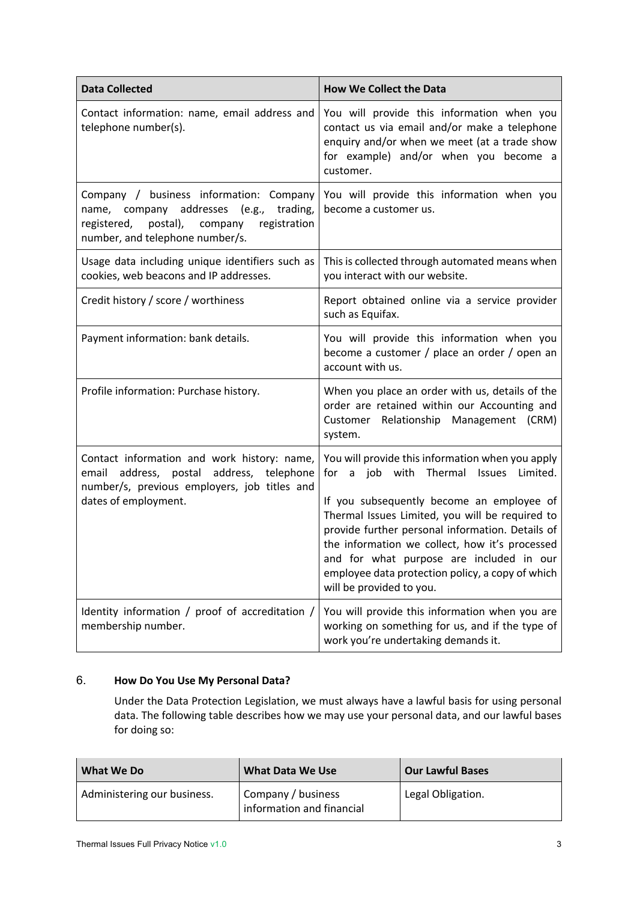| <b>Data Collected</b>                                                                                                                                                             | <b>How We Collect the Data</b>                                                                                                                                                                                                                                                                                                                                                                                                                     |
|-----------------------------------------------------------------------------------------------------------------------------------------------------------------------------------|----------------------------------------------------------------------------------------------------------------------------------------------------------------------------------------------------------------------------------------------------------------------------------------------------------------------------------------------------------------------------------------------------------------------------------------------------|
| Contact information: name, email address and<br>telephone number(s).                                                                                                              | You will provide this information when you<br>contact us via email and/or make a telephone<br>enquiry and/or when we meet (at a trade show<br>for example) and/or when you become a<br>customer.                                                                                                                                                                                                                                                   |
| Company / business information: Company<br>name, company addresses<br>trading,<br>(e.g.,<br>postal),<br>company<br>registration<br>registered,<br>number, and telephone number/s. | You will provide this information when you<br>become a customer us.                                                                                                                                                                                                                                                                                                                                                                                |
| Usage data including unique identifiers such as<br>cookies, web beacons and IP addresses.                                                                                         | This is collected through automated means when<br>you interact with our website.                                                                                                                                                                                                                                                                                                                                                                   |
| Credit history / score / worthiness                                                                                                                                               | Report obtained online via a service provider<br>such as Equifax.                                                                                                                                                                                                                                                                                                                                                                                  |
| Payment information: bank details.                                                                                                                                                | You will provide this information when you<br>become a customer / place an order / open an<br>account with us.                                                                                                                                                                                                                                                                                                                                     |
| Profile information: Purchase history.                                                                                                                                            | When you place an order with us, details of the<br>order are retained within our Accounting and<br>Customer Relationship Management (CRM)<br>system.                                                                                                                                                                                                                                                                                               |
| Contact information and work history: name,<br>postal address, telephone<br>address,<br>email<br>number/s, previous employers, job titles and<br>dates of employment.             | You will provide this information when you apply<br>with<br>Thermal<br>Limited.<br>for a<br>job<br><b>Issues</b><br>If you subsequently become an employee of<br>Thermal Issues Limited, you will be required to<br>provide further personal information. Details of<br>the information we collect, how it's processed<br>and for what purpose are included in our<br>employee data protection policy, a copy of which<br>will be provided to you. |
| Identity information / proof of accreditation /<br>membership number.                                                                                                             | You will provide this information when you are<br>working on something for us, and if the type of<br>work you're undertaking demands it.                                                                                                                                                                                                                                                                                                           |

# 6. **How Do You Use My Personal Data?**

Under the Data Protection Legislation, we must always have a lawful basis for using personal data. The following table describes how we may use your personal data, and our lawful bases for doing so:

| What We Do                  | <b>What Data We Use</b>                         | <b>Our Lawful Bases</b> |
|-----------------------------|-------------------------------------------------|-------------------------|
| Administering our business. | Company / business<br>information and financial | Legal Obligation.       |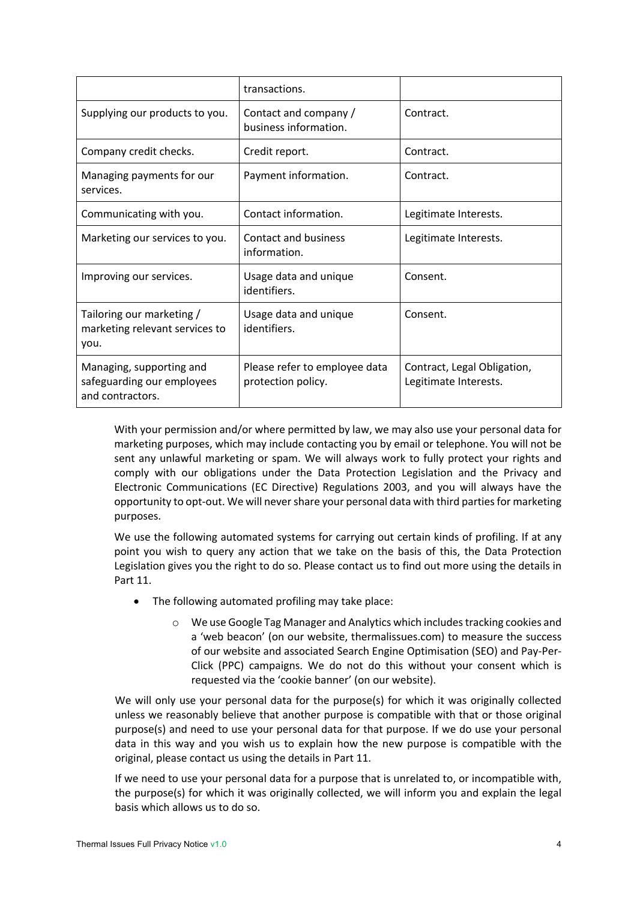|                                                                            | transactions.                                       |                                                      |
|----------------------------------------------------------------------------|-----------------------------------------------------|------------------------------------------------------|
| Supplying our products to you.                                             | Contact and company /<br>business information.      | Contract.                                            |
| Company credit checks.                                                     | Credit report.                                      | Contract.                                            |
| Managing payments for our<br>services.                                     | Payment information.                                | Contract.                                            |
| Communicating with you.                                                    | Contact information.                                | Legitimate Interests.                                |
| Marketing our services to you.                                             | <b>Contact and business</b><br>information.         | Legitimate Interests.                                |
| Improving our services.                                                    | Usage data and unique<br>identifiers.               | Consent.                                             |
| Tailoring our marketing /<br>marketing relevant services to<br>you.        | Usage data and unique<br>identifiers.               | Consent.                                             |
| Managing, supporting and<br>safeguarding our employees<br>and contractors. | Please refer to employee data<br>protection policy. | Contract, Legal Obligation,<br>Legitimate Interests. |

With your permission and/or where permitted by law, we may also use your personal data for marketing purposes, which may include contacting you by email or telephone. You will not be sent any unlawful marketing or spam. We will always work to fully protect your rights and comply with our obligations under the Data Protection Legislation and the Privacy and Electronic Communications (EC Directive) Regulations 2003, and you will always have the opportunity to opt-out. We will never share your personal data with third parties for marketing purposes.

We use the following automated systems for carrying out certain kinds of profiling. If at any point you wish to query any action that we take on the basis of this, the Data Protection Legislation gives you the right to do so. Please contact us to find out more using the details in Part 11.

- The following automated profiling may take place:
	- o We use Google Tag Manager and Analytics which includes tracking cookies and a 'web beacon' (on our website, thermalissues.com) to measure the success of our website and associated Search Engine Optimisation (SEO) and Pay-Per-Click (PPC) campaigns. We do not do this without your consent which is requested via the 'cookie banner' (on our website).

We will only use your personal data for the purpose(s) for which it was originally collected unless we reasonably believe that another purpose is compatible with that or those original purpose(s) and need to use your personal data for that purpose. If we do use your personal data in this way and you wish us to explain how the new purpose is compatible with the original, please contact us using the details in Part 11.

If we need to use your personal data for a purpose that is unrelated to, or incompatible with, the purpose(s) for which it was originally collected, we will inform you and explain the legal basis which allows us to do so.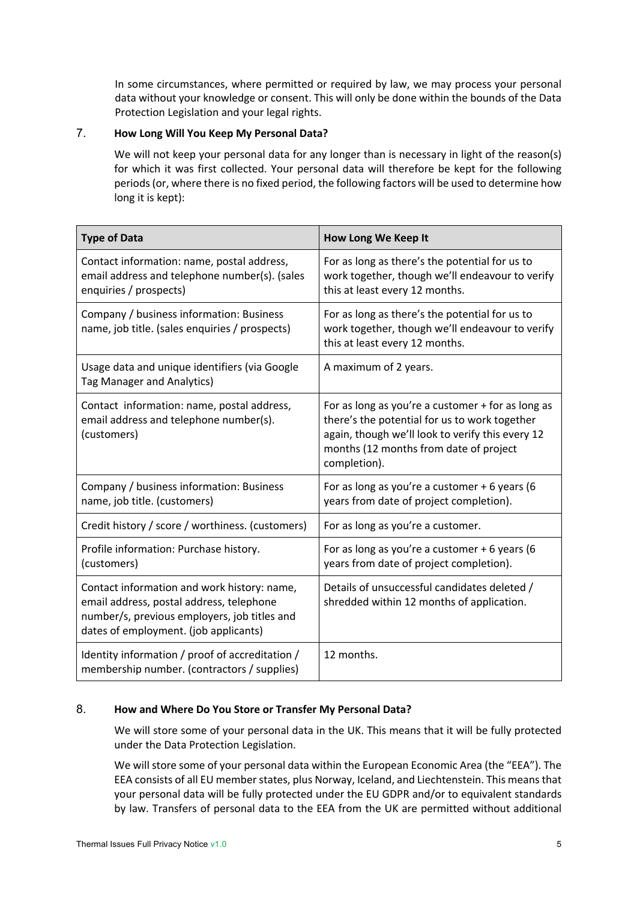In some circumstances, where permitted or required by law, we may process your personal data without your knowledge or consent. This will only be done within the bounds of the Data Protection Legislation and your legal rights.

# 7. **How Long Will You Keep My Personal Data?**

We will not keep your personal data for any longer than is necessary in light of the reason(s) for which it was first collected. Your personal data will therefore be kept for the following periods (or, where there is no fixed period, the following factors will be used to determine how long it is kept):

| <b>Type of Data</b>                                                                                                                                                              | How Long We Keep It                                                                                                                                                                                              |
|----------------------------------------------------------------------------------------------------------------------------------------------------------------------------------|------------------------------------------------------------------------------------------------------------------------------------------------------------------------------------------------------------------|
| Contact information: name, postal address,<br>email address and telephone number(s). (sales<br>enquiries / prospects)                                                            | For as long as there's the potential for us to<br>work together, though we'll endeavour to verify<br>this at least every 12 months.                                                                              |
| Company / business information: Business<br>name, job title. (sales enquiries / prospects)                                                                                       | For as long as there's the potential for us to<br>work together, though we'll endeavour to verify<br>this at least every 12 months.                                                                              |
| Usage data and unique identifiers (via Google<br><b>Tag Manager and Analytics)</b>                                                                                               | A maximum of 2 years.                                                                                                                                                                                            |
| Contact information: name, postal address,<br>email address and telephone number(s).<br>(customers)                                                                              | For as long as you're a customer + for as long as<br>there's the potential for us to work together<br>again, though we'll look to verify this every 12<br>months (12 months from date of project<br>completion). |
| Company / business information: Business<br>name, job title. (customers)                                                                                                         | For as long as you're a customer $+6$ years (6<br>years from date of project completion).                                                                                                                        |
| Credit history / score / worthiness. (customers)                                                                                                                                 | For as long as you're a customer.                                                                                                                                                                                |
| Profile information: Purchase history.<br>(customers)                                                                                                                            | For as long as you're a customer $+6$ years (6<br>years from date of project completion).                                                                                                                        |
| Contact information and work history: name,<br>email address, postal address, telephone<br>number/s, previous employers, job titles and<br>dates of employment. (job applicants) | Details of unsuccessful candidates deleted /<br>shredded within 12 months of application.                                                                                                                        |
| Identity information / proof of accreditation /<br>membership number. (contractors / supplies)                                                                                   | 12 months.                                                                                                                                                                                                       |

# 8. **How and Where Do You Store or Transfer My Personal Data?**

We will store some of your personal data in the UK. This means that it will be fully protected under the Data Protection Legislation.

We will store some of your personal data within the European Economic Area (the "EEA"). The EEA consists of all EU member states, plus Norway, Iceland, and Liechtenstein. This means that your personal data will be fully protected under the EU GDPR and/or to equivalent standards by law. Transfers of personal data to the EEA from the UK are permitted without additional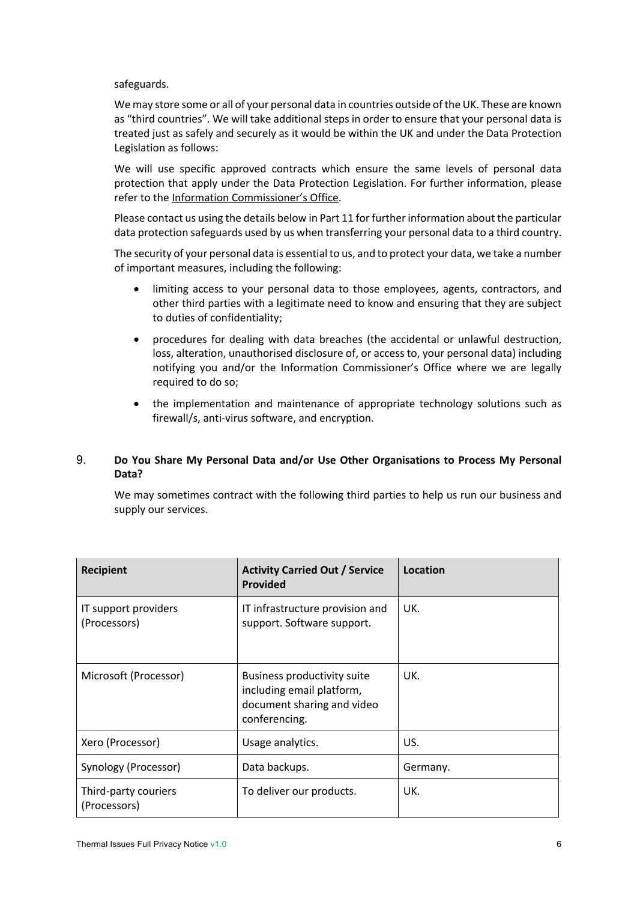safeguards.

We may store some or all of your personal data in countries outside of the UK. These are known as "third countries". We will take additional steps in order to ensure that your personal data is treated just as safely and securely as it would be within the UK and under the Data Protection Legislation as follows:

We will use specific approved contracts which ensure the same levels of personal data protection that apply under the Data Protection Legislation. For further information, please refer to the Information Commissioner's Office.

Please contact us using the details below in Part 11 for further information about the particular data protection safeguards used by us when transferring your personal data to a third country.

The security of your personal data is essential to us, and to protect your data, we take a number of important measures, including the following:

- limiting access to your personal data to those employees, agents, contractors, and other third parties with a legitimate need to know and ensuring that they are subject to duties of confidentiality;
- procedures for dealing with data breaches (the accidental or unlawful destruction, loss, alteration, unauthorised disclosure of, or access to, your personal data) including notifying you and/or the Information Commissioner's Office where we are legally required to do so;
- the implementation and maintenance of appropriate technology solutions such as firewall/s, anti-virus software, and encryption.

## 9. **Do You Share My Personal Data and/or Use Other Organisations to Process My Personal Data?**

We may sometimes contract with the following third parties to help us run our business and supply our services.

| <b>Recipient</b>                     | <b>Activity Carried Out / Service</b><br><b>Provided</b>                                                | Location |
|--------------------------------------|---------------------------------------------------------------------------------------------------------|----------|
| IT support providers<br>(Processors) | IT infrastructure provision and<br>support. Software support.                                           | UK.      |
| Microsoft (Processor)                | Business productivity suite<br>including email platform,<br>document sharing and video<br>conferencing. | UK.      |
| Xero (Processor)                     | Usage analytics.                                                                                        | US.      |
| Synology (Processor)                 | Data backups.                                                                                           | Germany. |
| Third-party couriers<br>(Processors) | To deliver our products.                                                                                | UK.      |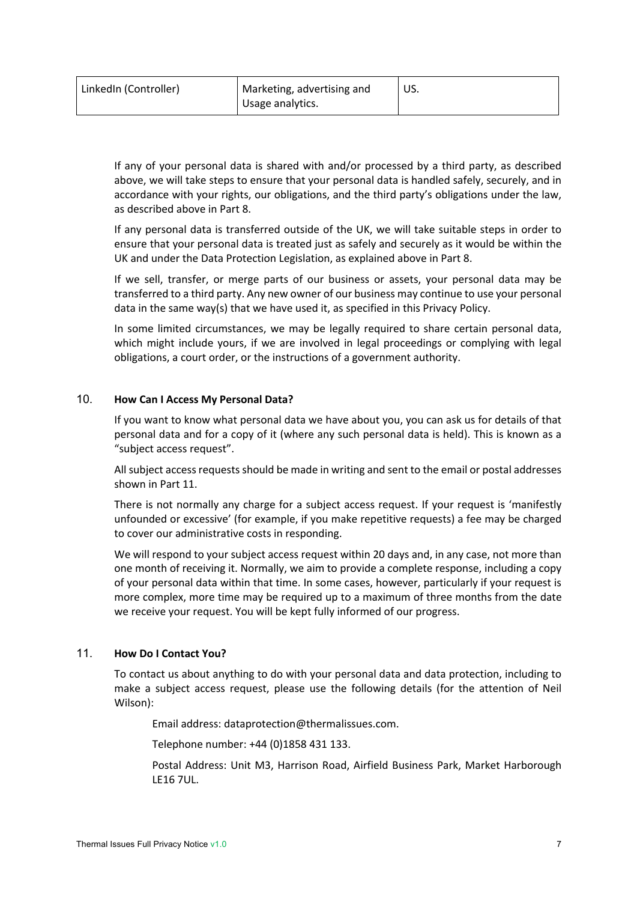| LinkedIn (Controller) | Marketing, advertising and | US. |
|-----------------------|----------------------------|-----|
|                       | Usage analytics.           |     |

If any of your personal data is shared with and/or processed by a third party, as described above, we will take steps to ensure that your personal data is handled safely, securely, and in accordance with your rights, our obligations, and the third party's obligations under the law, as described above in Part 8.

If any personal data is transferred outside of the UK, we will take suitable steps in order to ensure that your personal data is treated just as safely and securely as it would be within the UK and under the Data Protection Legislation, as explained above in Part 8.

If we sell, transfer, or merge parts of our business or assets, your personal data may be transferred to a third party. Any new owner of our business may continue to use your personal data in the same way(s) that we have used it, as specified in this Privacy Policy.

In some limited circumstances, we may be legally required to share certain personal data, which might include yours, if we are involved in legal proceedings or complying with legal obligations, a court order, or the instructions of a government authority.

### 10. **How Can I Access My Personal Data?**

If you want to know what personal data we have about you, you can ask us for details of that personal data and for a copy of it (where any such personal data is held). This is known as a "subject access request".

All subject access requests should be made in writing and sent to the email or postal addresses shown in Part 11.

There is not normally any charge for a subject access request. If your request is 'manifestly unfounded or excessive' (for example, if you make repetitive requests) a fee may be charged to cover our administrative costs in responding.

We will respond to your subject access request within 20 days and, in any case, not more than one month of receiving it. Normally, we aim to provide a complete response, including a copy of your personal data within that time. In some cases, however, particularly if your request is more complex, more time may be required up to a maximum of three months from the date we receive your request. You will be kept fully informed of our progress.

### 11. **How Do I Contact You?**

To contact us about anything to do with your personal data and data protection, including to make a subject access request, please use the following details (for the attention of Neil Wilson):

Email address: dataprotection@thermalissues.com.

Telephone number: +44 (0)1858 431 133.

Postal Address: Unit M3, Harrison Road, Airfield Business Park, Market Harborough LE16 7UL.